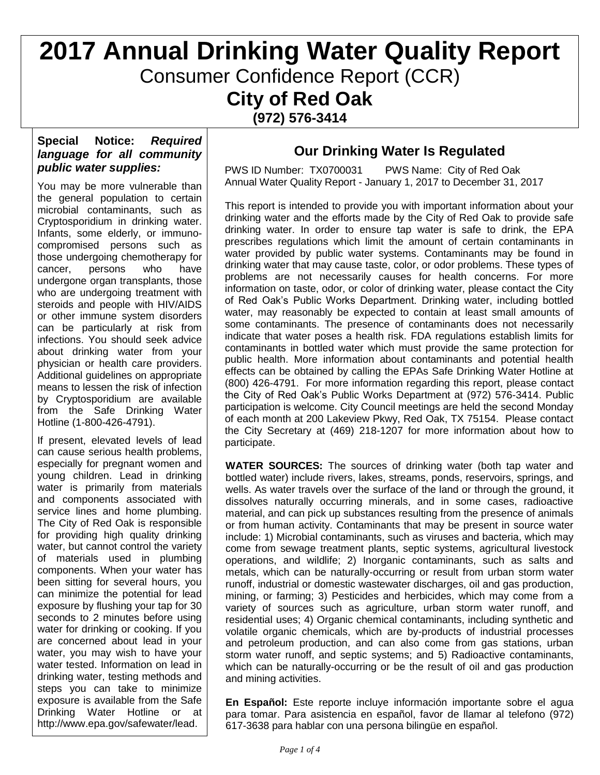# **2017 Annual Drinking Water Quality Report** Consumer Confidence Report (CCR) **City of Red Oak (972) 576-3414**

#### **Special Notice:** *Required language for all community public water supplies:*

You may be more vulnerable than the general population to certain microbial contaminants, such as Cryptosporidium in drinking water. Infants, some elderly, or immunocompromised persons such as those undergoing chemotherapy for cancer, persons who have undergone organ transplants, those who are undergoing treatment with steroids and people with HIV/AIDS or other immune system disorders can be particularly at risk from infections. You should seek advice about drinking water from your physician or health care providers. Additional guidelines on appropriate means to lessen the risk of infection by Cryptosporidium are available from the Safe Drinking Water Hotline (1-800-426-4791).

If present, elevated levels of lead can cause serious health problems, especially for pregnant women and young children. Lead in drinking water is primarily from materials and components associated with service lines and home plumbing. The City of Red Oak is responsible for providing high quality drinking water, but cannot control the variety of materials used in plumbing components. When your water has been sitting for several hours, you can minimize the potential for lead exposure by flushing your tap for 30 seconds to 2 minutes before using water for drinking or cooking. If you are concerned about lead in your water, you may wish to have your water tested. Information on lead in drinking water, testing methods and steps you can take to minimize exposure is available from the Safe Drinking Water Hotline or at http://www.epa.gov/safewater/lead.

### **Our Drinking Water Is Regulated**

PWS ID Number: TX0700031 PWS Name: City of Red Oak Annual Water Quality Report - January 1, 2017 to December 31, 2017

This report is intended to provide you with important information about your drinking water and the efforts made by the City of Red Oak to provide safe drinking water. In order to ensure tap water is safe to drink, the EPA prescribes regulations which limit the amount of certain contaminants in water provided by public water systems. Contaminants may be found in drinking water that may cause taste, color, or odor problems. These types of problems are not necessarily causes for health concerns. For more information on taste, odor, or color of drinking water, please contact the City of Red Oak's Public Works Department. Drinking water, including bottled water, may reasonably be expected to contain at least small amounts of some contaminants. The presence of contaminants does not necessarily indicate that water poses a health risk. FDA regulations establish limits for contaminants in bottled water which must provide the same protection for public health. More information about contaminants and potential health effects can be obtained by calling the EPAs Safe Drinking Water Hotline at (800) 426-4791. For more information regarding this report, please contact the City of Red Oak's Public Works Department at (972) 576-3414. Public participation is welcome. City Council meetings are held the second Monday of each month at 200 Lakeview Pkwy, Red Oak, TX 75154. Please contact the City Secretary at (469) 218-1207 for more information about how to participate.

**WATER SOURCES:** The sources of drinking water (both tap water and bottled water) include rivers, lakes, streams, ponds, reservoirs, springs, and wells. As water travels over the surface of the land or through the ground, it dissolves naturally occurring minerals, and in some cases, radioactive material, and can pick up substances resulting from the presence of animals or from human activity. Contaminants that may be present in source water include: 1) Microbial contaminants, such as viruses and bacteria, which may come from sewage treatment plants, septic systems, agricultural livestock operations, and wildlife; 2) Inorganic contaminants, such as salts and metals, which can be naturally-occurring or result from urban storm water runoff, industrial or domestic wastewater discharges, oil and gas production, mining, or farming; 3) Pesticides and herbicides, which may come from a variety of sources such as agriculture, urban storm water runoff, and residential uses; 4) Organic chemical contaminants, including synthetic and volatile organic chemicals, which are by-products of industrial processes and petroleum production, and can also come from gas stations, urban storm water runoff, and septic systems; and 5) Radioactive contaminants, which can be naturally-occurring or be the result of oil and gas production and mining activities.

**En Español:** Este reporte incluye información importante sobre el agua para tomar. Para asistencia en español, favor de llamar al telefono (972) 617-3638 para hablar con una persona bilingüe en español.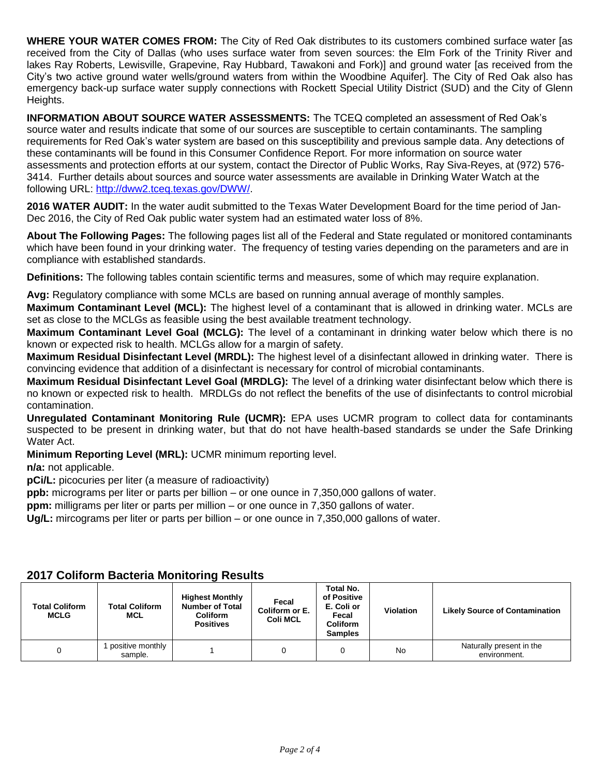**WHERE YOUR WATER COMES FROM:** The City of Red Oak distributes to its customers combined surface water [as received from the City of Dallas (who uses surface water from seven sources: the Elm Fork of the Trinity River and lakes Ray Roberts, Lewisville, Grapevine, Ray Hubbard, Tawakoni and Fork)] and ground water [as received from the City's two active ground water wells/ground waters from within the Woodbine Aquifer]. The City of Red Oak also has emergency back-up surface water supply connections with Rockett Special Utility District (SUD) and the City of Glenn Heights.

**INFORMATION ABOUT SOURCE WATER ASSESSMENTS:** The TCEQ completed an assessment of Red Oak's source water and results indicate that some of our sources are susceptible to certain contaminants. The sampling requirements for Red Oak's water system are based on this susceptibility and previous sample data. Any detections of these contaminants will be found in this Consumer Confidence Report. For more information on source water assessments and protection efforts at our system, contact the Director of Public Works, Ray Siva-Reyes, at (972) 576- 3414. Further details about sources and source water assessments are available in Drinking Water Watch at the following URL: [http://dww2.tceq.texas.gov/DWW/.](http://dww2.tceq.texas.gov/DWW/)

**2016 WATER AUDIT:** In the water audit submitted to the Texas Water Development Board for the time period of Jan-Dec 2016, the City of Red Oak public water system had an estimated water loss of 8%.

**About The Following Pages:** The following pages list all of the Federal and State regulated or monitored contaminants which have been found in your drinking water. The frequency of testing varies depending on the parameters and are in compliance with established standards.

**Definitions:** The following tables contain scientific terms and measures, some of which may require explanation.

**Avg:** Regulatory compliance with some MCLs are based on running annual average of monthly samples.

**Maximum Contaminant Level (MCL):** The highest level of a contaminant that is allowed in drinking water. MCLs are set as close to the MCLGs as feasible using the best available treatment technology.

**Maximum Contaminant Level Goal (MCLG):** The level of a contaminant in drinking water below which there is no known or expected risk to health. MCLGs allow for a margin of safety.

**Maximum Residual Disinfectant Level (MRDL):** The highest level of a disinfectant allowed in drinking water. There is convincing evidence that addition of a disinfectant is necessary for control of microbial contaminants.

**Maximum Residual Disinfectant Level Goal (MRDLG):** The level of a drinking water disinfectant below which there is no known or expected risk to health. MRDLGs do not reflect the benefits of the use of disinfectants to control microbial contamination.

**Unregulated Contaminant Monitoring Rule (UCMR):** EPA uses UCMR program to collect data for contaminants suspected to be present in drinking water, but that do not have health-based standards se under the Safe Drinking Water Act.

**Minimum Reporting Level (MRL):** UCMR minimum reporting level.

**n/a:** not applicable.

**pCi/L:** picocuries per liter (a measure of radioactivity)

**ppb:** micrograms per liter or parts per billion – or one ounce in 7,350,000 gallons of water.

**ppm:** milligrams per liter or parts per million – or one ounce in 7,350 gallons of water.

**Ug/L:** mircograms per liter or parts per billion – or one ounce in 7,350,000 gallons of water.

| <b>Total Coliform</b><br><b>MCLG</b> | <b>Total Coliform</b><br><b>MCL</b> | <b>Highest Monthly</b><br><b>Number of Total</b><br><b>Coliform</b><br><b>Positives</b> | Fecal<br>Coliform or E.<br><b>Coli MCL</b> | <b>Total No.</b><br>of Positive<br>E. Coli or<br>Fecal<br><b>Coliform</b><br><b>Samples</b> | <b>Violation</b> | <b>Likely Source of Contamination</b>    |
|--------------------------------------|-------------------------------------|-----------------------------------------------------------------------------------------|--------------------------------------------|---------------------------------------------------------------------------------------------|------------------|------------------------------------------|
| 0                                    | positive monthly<br>sample.         |                                                                                         |                                            |                                                                                             | No               | Naturally present in the<br>environment. |

#### **2017 Coliform Bacteria Monitoring Results**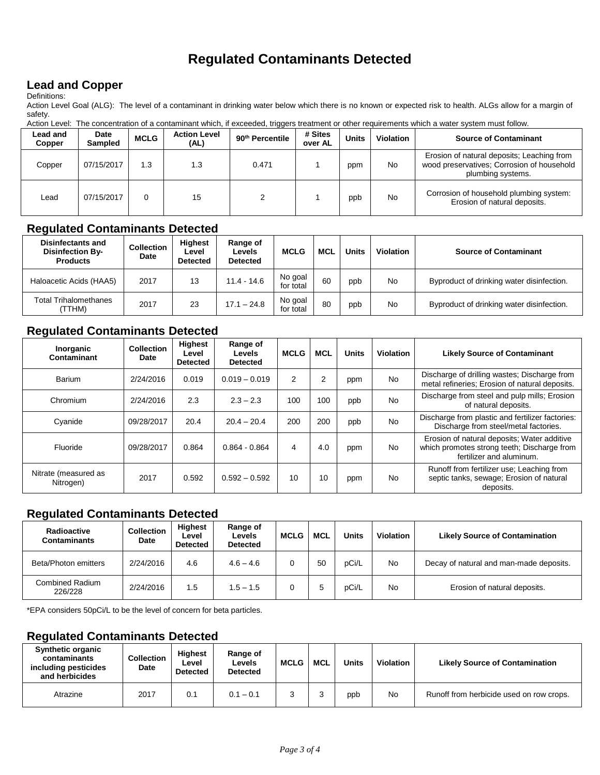## **Regulated Contaminants Detected**

#### **Lead and Copper**

Definitions:

Action Level Goal (ALG): The level of a contaminant in drinking water below which there is no known or expected risk to health. ALGs allow for a margin of safety.

|                           | Action Level: The concentration of a contaminant which, if exceeded, triggers treatment or other requirements which a water system must follow. |             |                             |                             |                    |              |                  |                                                                                                               |  |
|---------------------------|-------------------------------------------------------------------------------------------------------------------------------------------------|-------------|-----------------------------|-----------------------------|--------------------|--------------|------------------|---------------------------------------------------------------------------------------------------------------|--|
| <b>Lead and</b><br>Copper | Date<br><b>Sampled</b>                                                                                                                          | <b>MCLG</b> | <b>Action Level</b><br>(AL) | 90 <sup>th</sup> Percentile | # Sites<br>over AL | <b>Units</b> | <b>Violation</b> | <b>Source of Contaminant</b>                                                                                  |  |
| Copper                    | 07/15/2017                                                                                                                                      | 1.3         | 1.3                         | 0.471                       |                    | ppm          | <b>No</b>        | Erosion of natural deposits; Leaching from<br>wood preservatives; Corrosion of household<br>plumbing systems. |  |
| Lead                      | 07/15/2017                                                                                                                                      | 0           | 15                          |                             |                    | ppb          | <b>No</b>        | Corrosion of household plumbing system:<br>Erosion of natural deposits.                                       |  |

#### **Regulated Contaminants Detected**

| <b>Disinfectants and</b><br><b>Disinfection By-</b><br><b>Products</b> | <b>Collection</b><br>Date | <b>Highest</b><br>Level<br><b>Detected</b> | Range of<br>Levels<br><b>Detected</b> | <b>MCLG</b>          | <b>MCL</b> | Units | <b>Violation</b> | <b>Source of Contaminant</b>              |
|------------------------------------------------------------------------|---------------------------|--------------------------------------------|---------------------------------------|----------------------|------------|-------|------------------|-------------------------------------------|
| Haloacetic Acids (HAA5)                                                | 2017                      | 13                                         | $11.4 - 14.6$                         | No goal<br>for total | 60         | ppb   | No               | Byproduct of drinking water disinfection. |
| Total Trihalomethanes<br>TTHM)                                         | 2017                      | 23                                         | $17.1 - 24.8$                         | No goal<br>for total | 80         | ppb   | No               | Byproduct of drinking water disinfection. |

#### **Regulated Contaminants Detected**

| Inorganic<br>Contaminant          | <b>Collection</b><br>Date | <b>Highest</b><br>Level<br><b>Detected</b> | Range of<br>Levels<br><b>Detected</b> | <b>MCLG</b> | <b>MCL</b> | <b>Units</b> | <b>Violation</b> | <b>Likely Source of Contaminant</b>                                                                                    |
|-----------------------------------|---------------------------|--------------------------------------------|---------------------------------------|-------------|------------|--------------|------------------|------------------------------------------------------------------------------------------------------------------------|
| Barium                            | 2/24/2016                 | 0.019                                      | $0.019 - 0.019$                       | 2           | 2          | ppm          | <b>No</b>        | Discharge of drilling wastes; Discharge from<br>metal refineries; Erosion of natural deposits.                         |
| Chromium                          | 2/24/2016                 | 2.3                                        | $2.3 - 2.3$                           | 100         | 100        | ppb          | <b>No</b>        | Discharge from steel and pulp mills; Erosion<br>of natural deposits.                                                   |
| Cyanide                           | 09/28/2017                | 20.4                                       | $20.4 - 20.4$                         | 200         | 200        | ppb          | <b>No</b>        | Discharge from plastic and fertilizer factories:<br>Discharge from steel/metal factories.                              |
| Fluoride                          | 09/28/2017                | 0.864                                      | $0.864 - 0.864$                       | 4           | 4.0        | ppm          | <b>No</b>        | Erosion of natural deposits; Water additive<br>which promotes strong teeth; Discharge from<br>fertilizer and aluminum. |
| Nitrate (measured as<br>Nitrogen) | 2017                      | 0.592                                      | $0.592 - 0.592$                       | 10          | 10         | ppm          | <b>No</b>        | Runoff from fertilizer use; Leaching from<br>septic tanks, sewage; Erosion of natural<br>deposits.                     |

#### **Regulated Contaminants Detected**

| Radioactive<br>Contaminants | <b>Collection</b><br>Date | <b>Highest</b><br>Level<br><b>Detected</b> | Range of<br><b>Levels</b><br><b>Detected</b> | <b>MCLG</b> | <b>MCL</b> | Units | <b>Violation</b> | <b>Likely Source of Contamination</b>   |
|-----------------------------|---------------------------|--------------------------------------------|----------------------------------------------|-------------|------------|-------|------------------|-----------------------------------------|
| Beta/Photon emitters        | 2/24/2016                 | 4.6                                        | $4.6 - 4.6$                                  |             | 50         | pCi/L | No               | Decay of natural and man-made deposits. |
| Combined Radium<br>226/228  | 2/24/2016                 | 1.5                                        | $1.5 - 1.5$                                  |             |            | pCi/L | No               | Erosion of natural deposits.            |

\*EPA considers 50pCi/L to be the level of concern for beta particles.

#### **Regulated Contaminants Detected**

| <b>Synthetic organic</b><br>contaminants<br>including pesticides<br>and herbicides | <b>Collection</b><br>Date | <b>Highest</b><br>Level<br><b>Detected</b> | Range of<br>Levels<br><b>Detected</b> | <b>MCLG</b> | <b>MCL</b> | <b>Units</b> | Violation | <b>Likely Source of Contamination</b>    |
|------------------------------------------------------------------------------------|---------------------------|--------------------------------------------|---------------------------------------|-------------|------------|--------------|-----------|------------------------------------------|
| Atrazine                                                                           | 2017                      | 0.1                                        | $0.1 - 0.1$                           |             |            | ppb          | No        | Runoff from herbicide used on row crops. |